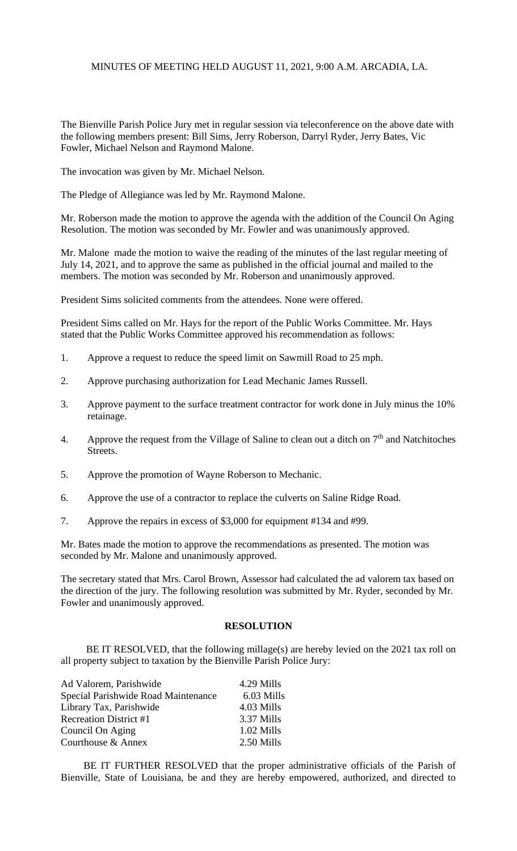# MINUTES OF MEETING HELD AUGUST 11, 2021, 9:00 A.M. ARCADIA, LA.

The Bienville Parish Police Jury met in regular session via teleconference on the above date with the following members present: Bill Sims, Jerry Roberson, Darryl Ryder, Jerry Bates, Vic Fowler, Michael Nelson and Raymond Malone.

The invocation was given by Mr. Michael Nelson.

The Pledge of Allegiance was led by Mr. Raymond Malone.

Mr. Roberson made the motion to approve the agenda with the addition of the Council On Aging Resolution. The motion was seconded by Mr. Fowler and was unanimously approved.

Mr. Malone made the motion to waive the reading of the minutes of the last regular meeting of July 14, 2021, and to approve the same as published in the official journal and mailed to the members. The motion was seconded by Mr. Roberson and unanimously approved.

President Sims solicited comments from the attendees. None were offered.

President Sims called on Mr. Hays for the report of the Public Works Committee. Mr. Hays stated that the Public Works Committee approved his recommendation as follows:

- 1. Approve a request to reduce the speed limit on Sawmill Road to 25 mph.
- 2. Approve purchasing authorization for Lead Mechanic James Russell.
- 3. Approve payment to the surface treatment contractor for work done in July minus the 10% retainage.
- 4. Approve the request from the Village of Saline to clean out a ditch on  $7<sup>th</sup>$  and Natchitoches Streets.
- 5. Approve the promotion of Wayne Roberson to Mechanic.
- 6. Approve the use of a contractor to replace the culverts on Saline Ridge Road.
- 7. Approve the repairs in excess of \$3,000 for equipment #134 and #99.

Mr. Bates made the motion to approve the recommendations as presented. The motion was seconded by Mr. Malone and unanimously approved.

The secretary stated that Mrs. Carol Brown, Assessor had calculated the ad valorem tax based on the direction of the jury. The following resolution was submitted by Mr. Ryder, seconded by Mr. Fowler and unanimously approved.

#### **RESOLUTION**

BE IT RESOLVED, that the following millage(s) are hereby levied on the 2021 tax roll on all property subject to taxation by the Bienville Parish Police Jury:

| 4.29 Mills |
|------------|
| 6.03 Mills |
| 4.03 Mills |
| 3.37 Mills |
| 1.02 Mills |
| 2.50 Mills |
|            |

 BE IT FURTHER RESOLVED that the proper administrative officials of the Parish of Bienville, State of Louisiana, be and they are hereby empowered, authorized, and directed to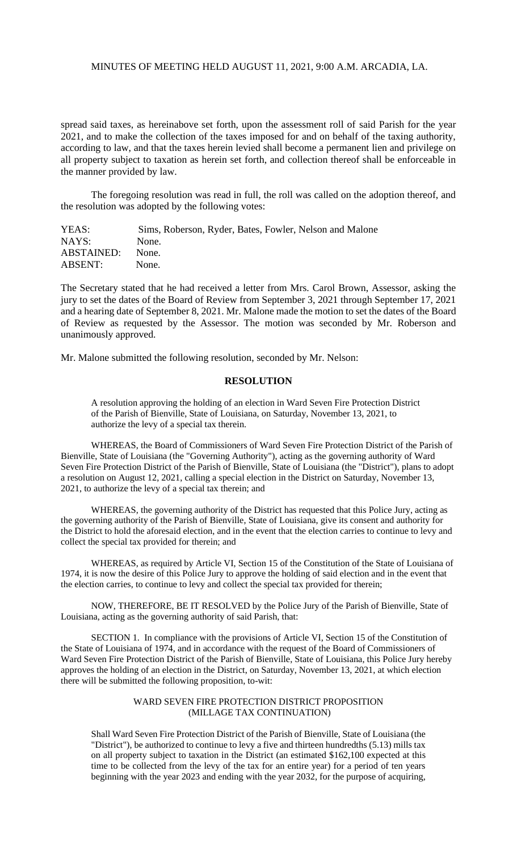## MINUTES OF MEETING HELD AUGUST 11, 2021, 9:00 A.M. ARCADIA, LA.

spread said taxes, as hereinabove set forth, upon the assessment roll of said Parish for the year 2021, and to make the collection of the taxes imposed for and on behalf of the taxing authority, according to law, and that the taxes herein levied shall become a permanent lien and privilege on all property subject to taxation as herein set forth, and collection thereof shall be enforceable in the manner provided by law.

 The foregoing resolution was read in full, the roll was called on the adoption thereof, and the resolution was adopted by the following votes:

| YEAS:      | Sims, Roberson, Ryder, Bates, Fowler, Nelson and Malone |
|------------|---------------------------------------------------------|
| NAYS:      | None.                                                   |
| ABSTAINED: | None.                                                   |
| ABSENT:    | None.                                                   |

The Secretary stated that he had received a letter from Mrs. Carol Brown, Assessor, asking the jury to set the dates of the Board of Review from September 3, 2021 through September 17, 2021 and a hearing date of September 8, 2021. Mr. Malone made the motion to set the dates of the Board of Review as requested by the Assessor. The motion was seconded by Mr. Roberson and unanimously approved.

Mr. Malone submitted the following resolution, seconded by Mr. Nelson:

## **RESOLUTION**

A resolution approving the holding of an election in Ward Seven Fire Protection District of the Parish of Bienville, State of Louisiana, on Saturday, November 13, 2021, to authorize the levy of a special tax therein.

WHEREAS, the Board of Commissioners of Ward Seven Fire Protection District of the Parish of Bienville, State of Louisiana (the "Governing Authority"), acting as the governing authority of Ward Seven Fire Protection District of the Parish of Bienville, State of Louisiana (the "District"), plans to adopt a resolution on August 12, 2021, calling a special election in the District on Saturday, November 13, 2021, to authorize the levy of a special tax therein; and

WHEREAS, the governing authority of the District has requested that this Police Jury, acting as the governing authority of the Parish of Bienville, State of Louisiana, give its consent and authority for the District to hold the aforesaid election, and in the event that the election carries to continue to levy and collect the special tax provided for therein; and

WHEREAS, as required by Article VI, Section 15 of the Constitution of the State of Louisiana of 1974, it is now the desire of this Police Jury to approve the holding of said election and in the event that the election carries, to continue to levy and collect the special tax provided for therein;

NOW, THEREFORE, BE IT RESOLVED by the Police Jury of the Parish of Bienville, State of Louisiana, acting as the governing authority of said Parish, that:

SECTION 1. In compliance with the provisions of Article VI, Section 15 of the Constitution of the State of Louisiana of 1974, and in accordance with the request of the Board of Commissioners of Ward Seven Fire Protection District of the Parish of Bienville, State of Louisiana, this Police Jury hereby approves the holding of an election in the District, on Saturday, November 13, 2021, at which election there will be submitted the following proposition, to-wit:

#### WARD SEVEN FIRE PROTECTION DISTRICT PROPOSITION (MILLAGE TAX CONTINUATION)

Shall Ward Seven Fire Protection District of the Parish of Bienville, State of Louisiana (the "District"), be authorized to continue to levy a five and thirteen hundredths (5.13) mills tax on all property subject to taxation in the District (an estimated \$162,100 expected at this time to be collected from the levy of the tax for an entire year) for a period of ten years beginning with the year 2023 and ending with the year 2032, for the purpose of acquiring,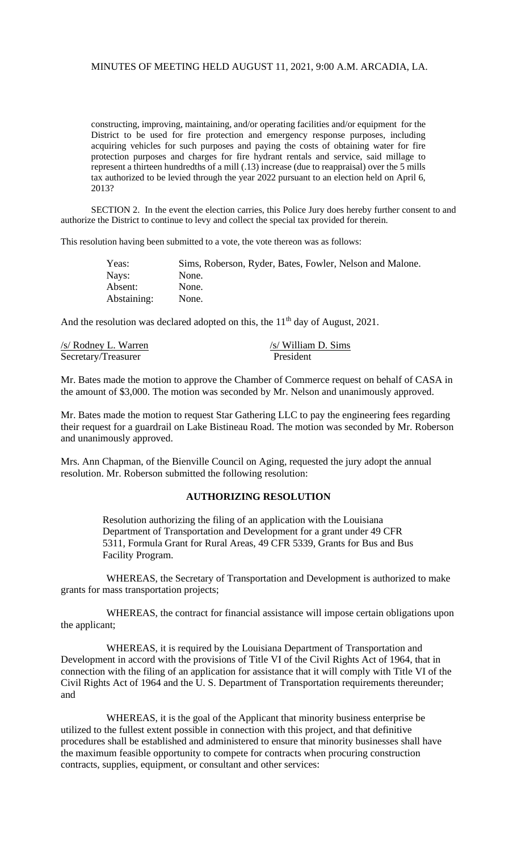# MINUTES OF MEETING HELD AUGUST 11, 2021, 9:00 A.M. ARCADIA, LA.

constructing, improving, maintaining, and/or operating facilities and/or equipment for the District to be used for fire protection and emergency response purposes, including acquiring vehicles for such purposes and paying the costs of obtaining water for fire protection purposes and charges for fire hydrant rentals and service, said millage to represent a thirteen hundredths of a mill (.13) increase (due to reappraisal) over the 5 mills tax authorized to be levied through the year 2022 pursuant to an election held on April 6, 2013?

SECTION 2. In the event the election carries, this Police Jury does hereby further consent to and authorize the District to continue to levy and collect the special tax provided for therein.

This resolution having been submitted to a vote, the vote thereon was as follows:

| Yeas:       | Sims, Roberson, Ryder, Bates, Fowler, Nelson and Malone. |
|-------------|----------------------------------------------------------|
| Nays:       | None.                                                    |
| Absent:     | None.                                                    |
| Abstaining: | None.                                                    |

And the resolution was declared adopted on this, the  $11<sup>th</sup>$  day of August, 2021.

| /s/ Rodney L. Warren | $/s$ William D. Sims |
|----------------------|----------------------|
| Secretary/Treasurer  | President            |

Mr. Bates made the motion to approve the Chamber of Commerce request on behalf of CASA in the amount of \$3,000. The motion was seconded by Mr. Nelson and unanimously approved.

Mr. Bates made the motion to request Star Gathering LLC to pay the engineering fees regarding their request for a guardrail on Lake Bistineau Road. The motion was seconded by Mr. Roberson and unanimously approved.

Mrs. Ann Chapman, of the Bienville Council on Aging, requested the jury adopt the annual resolution. Mr. Roberson submitted the following resolution:

# **AUTHORIZING RESOLUTION**

Resolution authorizing the filing of an application with the Louisiana Department of Transportation and Development for a grant under 49 CFR 5311, Formula Grant for Rural Areas, 49 CFR 5339, Grants for Bus and Bus Facility Program.

WHEREAS, the Secretary of Transportation and Development is authorized to make grants for mass transportation projects;

WHEREAS, the contract for financial assistance will impose certain obligations upon the applicant;

WHEREAS, it is required by the Louisiana Department of Transportation and Development in accord with the provisions of Title VI of the Civil Rights Act of 1964, that in connection with the filing of an application for assistance that it will comply with Title VI of the Civil Rights Act of 1964 and the U. S. Department of Transportation requirements thereunder; and

WHEREAS, it is the goal of the Applicant that minority business enterprise be utilized to the fullest extent possible in connection with this project, and that definitive procedures shall be established and administered to ensure that minority businesses shall have the maximum feasible opportunity to compete for contracts when procuring construction contracts, supplies, equipment, or consultant and other services: